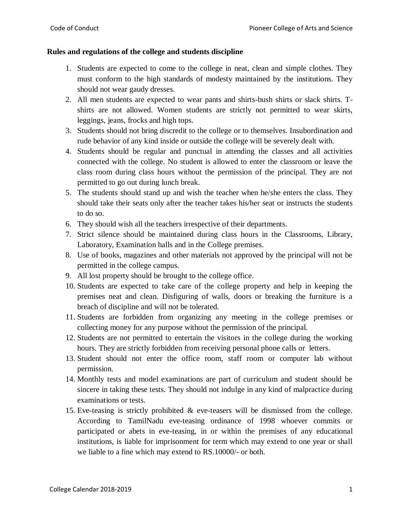### **Rules and regulations of the college and students discipline**

- 1. Students are expected to come to the college in neat, clean and simple clothes. They must conform to the high standards of modesty maintained by the institutions. They should not wear gaudy dresses.
- 2. All men students are expected to wear pants and shirts-bush shirts or slack shirts. Tshirts are not allowed. Women students are strictly not permitted to wear skirts, leggings, jeans, frocks and high tops.
- 3. Students should not bring discredit to the college or to themselves. Insubordination and rude behavior of any kind inside or outside the college will be severely dealt with.
- 4. Students should be regular and punctual in attending the classes and all activities connected with the college. No student is allowed to enter the classroom or leave the class room during class hours without the permission of the principal. They are not permitted to go out during lunch break.
- 5. The students should stand up and wish the teacher when he/she enters the class. They should take their seats only after the teacher takes his/her seat or instructs the students to do so.
- 6. They should wish all the teachers irrespective of their departments.
- 7. Strict silence should be maintained during class hours in the Classrooms, Library, Laboratory, Examination halls and in the College premises.
- 8. Use of books, magazines and other materials not approved by the principal will not be permitted in the college campus.
- 9. All lost property should be brought to the college office.
- 10. Students are expected to take care of the college property and help in keeping the premises neat and clean. Disfiguring of walls, doors or breaking the furniture is a breach of discipline and will not be tolerated.
- 11. Students are forbidden from organizing any meeting in the college premises or collecting money for any purpose without the permission of the principal.
- 12. Students are not permitted to entertain the visitors in the college during the working hours. They are strictly forbidden from receiving personal phone calls or letters.
- 13. Student should not enter the office room, staff room or computer lab without permission.
- 14. Monthly tests and model examinations are part of curriculum and student should be sincere in taking these tests. They should not indulge in any kind of malpractice during examinations or tests.
- 15. Eve-teasing is strictly prohibited & eve-teasers will be dismissed from the college. According to TamilNadu eve-teasing ordinance of 1998 whoever commits or participated or abets in eve-teasing, in or within the premises of any educational institutions, is liable for imprisonment for term which may extend to one year or shall we liable to a fine which may extend to RS.10000/- or both.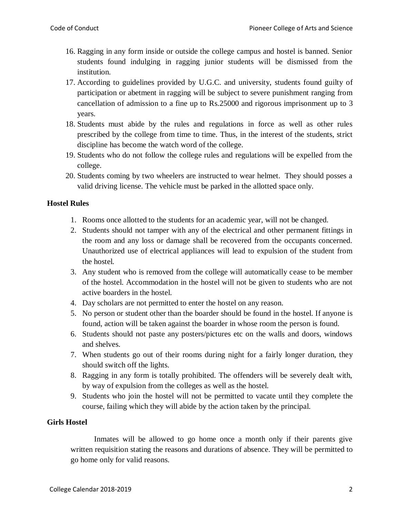- 16. Ragging in any form inside or outside the college campus and hostel is banned. Senior students found indulging in ragging junior students will be dismissed from the institution.
- 17. According to guidelines provided by U.G.C. and university, students found guilty of participation or abetment in ragging will be subject to severe punishment ranging from cancellation of admission to a fine up to Rs.25000 and rigorous imprisonment up to 3 years.
- 18. Students must abide by the rules and regulations in force as well as other rules prescribed by the college from time to time. Thus, in the interest of the students, strict discipline has become the watch word of the college.
- 19. Students who do not follow the college rules and regulations will be expelled from the college.
- 20. Students coming by two wheelers are instructed to wear helmet. They should posses a valid driving license. The vehicle must be parked in the allotted space only.

# **Hostel Rules**

- 1. Rooms once allotted to the students for an academic year, will not be changed.
- 2. Students should not tamper with any of the electrical and other permanent fittings in the room and any loss or damage shall be recovered from the occupants concerned. Unauthorized use of electrical appliances will lead to expulsion of the student from the hostel.
- 3. Any student who is removed from the college will automatically cease to be member of the hostel. Accommodation in the hostel will not be given to students who are not active boarders in the hostel.
- 4. Day scholars are not permitted to enter the hostel on any reason.
- 5. No person or student other than the boarder should be found in the hostel. If anyone is found, action will be taken against the boarder in whose room the person is found.
- 6. Students should not paste any posters/pictures etc on the walls and doors, windows and shelves.
- 7. When students go out of their rooms during night for a fairly longer duration, they should switch off the lights.
- 8. Ragging in any form is totally prohibited. The offenders will be severely dealt with, by way of expulsion from the colleges as well as the hostel.
- 9. Students who join the hostel will not be permitted to vacate until they complete the course, failing which they will abide by the action taken by the principal.

## **Girls Hostel**

Inmates will be allowed to go home once a month only if their parents give written requisition stating the reasons and durations of absence. They will be permitted to go home only for valid reasons.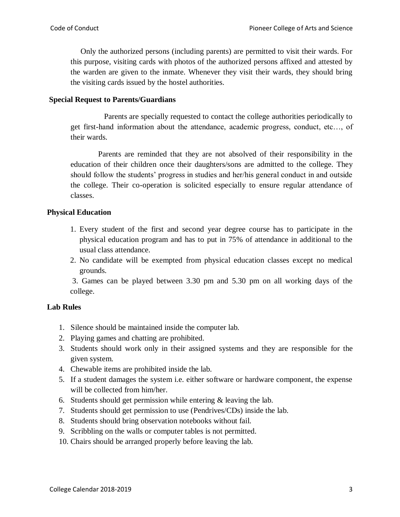Only the authorized persons (including parents) are permitted to visit their wards. For this purpose, visiting cards with photos of the authorized persons affixed and attested by the warden are given to the inmate. Whenever they visit their wards, they should bring the visiting cards issued by the hostel authorities.

### **Special Request to Parents/Guardians**

 Parents are specially requested to contact the college authorities periodically to get first-hand information about the attendance, academic progress, conduct, etc…, of their wards.

 Parents are reminded that they are not absolved of their responsibility in the education of their children once their daughters/sons are admitted to the college. They should follow the students' progress in studies and her/his general conduct in and outside the college. Their co-operation is solicited especially to ensure regular attendance of classes.

## **Physical Education**

- 1. Every student of the first and second year degree course has to participate in the physical education program and has to put in 75% of attendance in additional to the usual class attendance.
- 2. No candidate will be exempted from physical education classes except no medical grounds.

3. Games can be played between 3.30 pm and 5.30 pm on all working days of the college.

## **Lab Rules**

- 1. Silence should be maintained inside the computer lab.
- 2. Playing games and chatting are prohibited.
- 3. Students should work only in their assigned systems and they are responsible for the given system.
- 4. Chewable items are prohibited inside the lab.
- 5. If a student damages the system i.e. either software or hardware component, the expense will be collected from him/her.
- 6. Students should get permission while entering & leaving the lab.
- 7. Students should get permission to use (Pendrives/CDs) inside the lab.
- 8. Students should bring observation notebooks without fail.
- 9. Scribbling on the walls or computer tables is not permitted.
- 10. Chairs should be arranged properly before leaving the lab.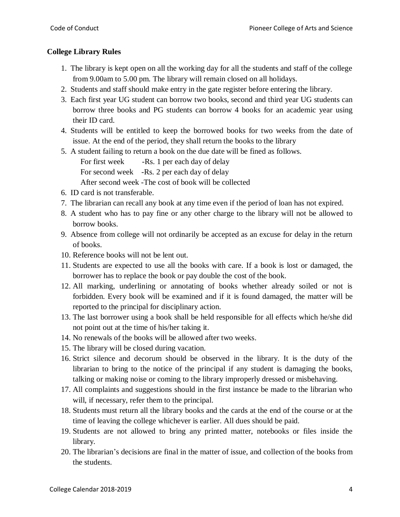# **College Library Rules**

- 1. The library is kept open on all the working day for all the students and staff of the college from 9.00am to 5.00 pm. The library will remain closed on all holidays.
- 2. Students and staff should make entry in the gate register before entering the library.
- 3. Each first year UG student can borrow two books, second and third year UG students can borrow three books and PG students can borrow 4 books for an academic year using their ID card.
- 4. Students will be entitled to keep the borrowed books for two weeks from the date of issue. At the end of the period, they shall return the books to the library
- 5. A student failing to return a book on the due date will be fined as follows.

For first week -Rs. 1 per each day of delay

For second week -Rs. 2 per each day of delay

After second week -The cost of book will be collected

- 6. ID card is not transferable.
- 7. The librarian can recall any book at any time even if the period of loan has not expired.
- 8. A student who has to pay fine or any other charge to the library will not be allowed to borrow books.
- 9. Absence from college will not ordinarily be accepted as an excuse for delay in the return of books.
- 10. Reference books will not be lent out.
- 11. Students are expected to use all the books with care. If a book is lost or damaged, the borrower has to replace the book or pay double the cost of the book.
- 12. All marking, underlining or annotating of books whether already soiled or not is forbidden. Every book will be examined and if it is found damaged, the matter will be reported to the principal for disciplinary action.
- 13. The last borrower using a book shall be held responsible for all effects which he/she did not point out at the time of his/her taking it.
- 14. No renewals of the books will be allowed after two weeks.
- 15. The library will be closed during vacation.
- 16. Strict silence and decorum should be observed in the library. It is the duty of the librarian to bring to the notice of the principal if any student is damaging the books, talking or making noise or coming to the library improperly dressed or misbehaving.
- 17. All complaints and suggestions should in the first instance be made to the librarian who will, if necessary, refer them to the principal.
- 18. Students must return all the library books and the cards at the end of the course or at the time of leaving the college whichever is earlier. All dues should be paid.
- 19. Students are not allowed to bring any printed matter, notebooks or files inside the library.
- 20. The librarian's decisions are final in the matter of issue, and collection of the books from the students.